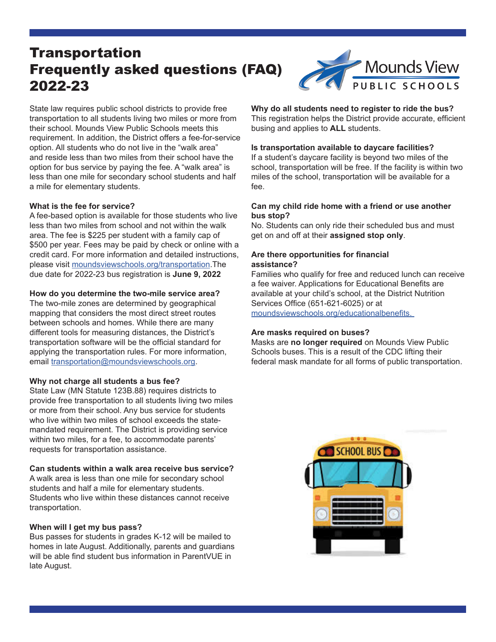# **Transportation** Frequently asked questions (FAQ) 2022-23



State law requires public school districts to provide free transportation to all students living two miles or more from their school. Mounds View Public Schools meets this requirement. In addition, the District offers a fee-for-service option. All students who do not live in the "walk area" and reside less than two miles from their school have the option for bus service by paying the fee. A "walk area" is less than one mile for secondary school students and half a mile for elementary students.

## **What is the fee for service?**

A fee-based option is available for those students who live less than two miles from school and not within the walk area. The fee is \$225 per student with a family cap of \$500 per year. Fees may be paid by check or online with a credit card. For more information and detailed instructions, please visit moundsviewschools.org/transportation.The due date for 2022-23 bus registration is **June 9, 2022**

## **How do you determine the two-mile service area?**

The two-mile zones are determined by geographical mapping that considers the most direct street routes between schools and homes. While there are many different tools for measuring distances, the District's transportation software will be the official standard for applying the transportation rules. For more information, email transportation@moundsviewschools.org.

# **Why not charge all students a bus fee?**

State Law (MN Statute 123B.88) requires districts to provide free transportation to all students living two miles or more from their school. Any bus service for students who live within two miles of school exceeds the statemandated requirement. The District is providing service within two miles, for a fee, to accommodate parents' requests for transportation assistance.

#### **Can students within a walk area receive bus service?**

A walk area is less than one mile for secondary school students and half a mile for elementary students. Students who live within these distances cannot receive transportation.

# **When will I get my bus pass?**

Bus passes for students in grades K-12 will be mailed to homes in late August. Additionally, parents and guardians will be able find student bus information in ParentVUE in late August.

# **Why do all students need to register to ride the bus?**

This registration helps the District provide accurate, efficient busing and applies to **ALL** students.

#### **Is transportation available to daycare facilities?**

If a student's daycare facility is beyond two miles of the school, transportation will be free. If the facility is within two miles of the school, transportation will be available for a fee.

#### **Can my child ride home with a friend or use another bus stop?**

No. Students can only ride their scheduled bus and must get on and off at their **assigned stop only**.

#### **Are there opportunities for financial assistance?**

Families who qualify for free and reduced lunch can receive a fee waiver. Applications for Educational Benefits are available at your child's school, at the District Nutrition Services Office (651-621-6025) or at moundsviewschools.org/educationalbenefits.

# **Are masks required on buses?**

Masks are **no longer required** on Mounds View Public Schools buses. This is a result of the CDC lifting their federal mask mandate for all forms of public transportation.